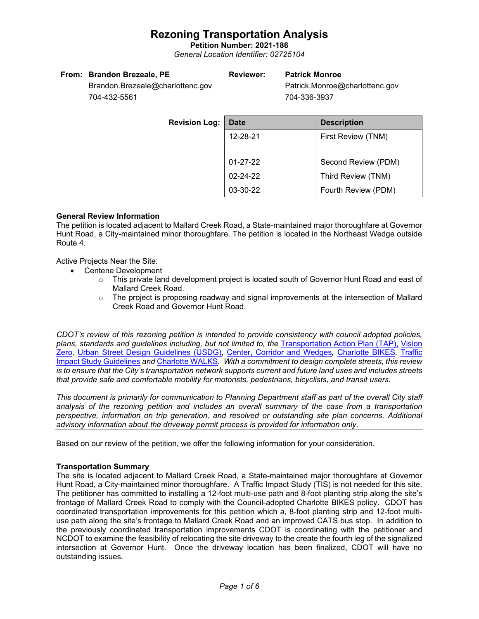**Petition Number: 2021-186** *General Location Identifier: 02725104*

### **From: Brandon Brezeale, PE**

### **Reviewer: Patrick Monroe**

Patrick.Monroe@charlottenc.gov 704-336-3937

Brandon.Brezeale@charlottenc.gov 704-432-5561

| <b>Revision Log:</b> | <b>Date</b>    | <b>Description</b>  |  |
|----------------------|----------------|---------------------|--|
|                      | 12-28-21       | First Review (TNM)  |  |
|                      |                |                     |  |
|                      | $01 - 27 - 22$ | Second Review (PDM) |  |
|                      | $02 - 24 - 22$ | Third Review (TNM)  |  |
|                      | 03-30-22       | Fourth Review (PDM) |  |

### **General Review Information**

The petition is located adjacent to Mallard Creek Road, a State-maintained major thoroughfare at Governor Hunt Road, a City-maintained minor thoroughfare. The petition is located in the Northeast Wedge outside Route 4.

Active Projects Near the Site:

- Centene Development
	- o This private land development project is located south of Governor Hunt Road and east of Mallard Creek Road.
	- $\circ$  The project is proposing roadway and signal improvements at the intersection of Mallard Creek Road and Governor Hunt Road.

*CDOT's review of this rezoning petition is intended to provide consistency with council adopted policies,*  plans, standards and guidelines including, but not limited to, the [Transportation Action Plan \(TAP\),](https://charlottenc.gov/Transportation/Programs/Pages/TransportationActionPlan.aspx) Vision [Zero](https://charlottenc.gov/VisionZero/Pages/VisionZero.aspx)*,* [Urban Street Design Guidelines \(USDG\)](https://charlottenc.gov/Transportation/PlansProjects/Documents/USDG%20Full%20Document.pdf)*,* [Center, Corridor and Wedges](http://ww.charmeck.org/Planning/Land%20Use%20Planning/CentersCorridorsWedges/CentersCorridorsWedges(Adopted).pdf)*,* [Charlotte BIKES](https://charlottenc.gov/Transportation/Programs/Pages/Bicycle.aspx)*,* [Traffic](https://charlottenc.gov/Transportation/Permits/Documents/TISProcessandGuildlines.pdf)  [Impact Study Guidelines](https://charlottenc.gov/Transportation/Permits/Documents/TISProcessandGuildlines.pdf) *and* [Charlotte WALKS](https://charlottenc.gov/Transportation/Programs/Pages/CharlotteWalks.aspx)*. With a commitment to design complete streets, this review is to ensure that the City's transportation network supports current and future land uses and includes streets that provide safe and comfortable mobility for motorists, pedestrians, bicyclists, and transit users.*

*This document is primarily for communication to Planning Department staff as part of the overall City staff analysis of the rezoning petition and includes an overall summary of the case from a transportation perspective, information on trip generation, and resolved or outstanding site plan concerns. Additional advisory information about the driveway permit process is provided for information only.*

Based on our review of the petition, we offer the following information for your consideration.

### **Transportation Summary**

The site is located adjacent to Mallard Creek Road, a State-maintained major thoroughfare at Governor Hunt Road, a City-maintained minor thoroughfare. A Traffic Impact Study (TIS) is not needed for this site. The petitioner has committed to installing a 12-foot multi-use path and 8-foot planting strip along the site's frontage of Mallard Creek Road to comply with the Council-adopted Charlotte BIKES policy. CDOT has coordinated transportation improvements for this petition which a, 8-foot planting strip and 12-foot multiuse path along the site's frontage to Mallard Creek Road and an improved CATS bus stop. In addition to the previously coordinated transportation improvements CDOT is coordinating with the petitioner and NCDOT to examine the feasibility of relocating the site driveway to the create the fourth leg of the signalized intersection at Governor Hunt. Once the driveway location has been finalized, CDOT will have no outstanding issues.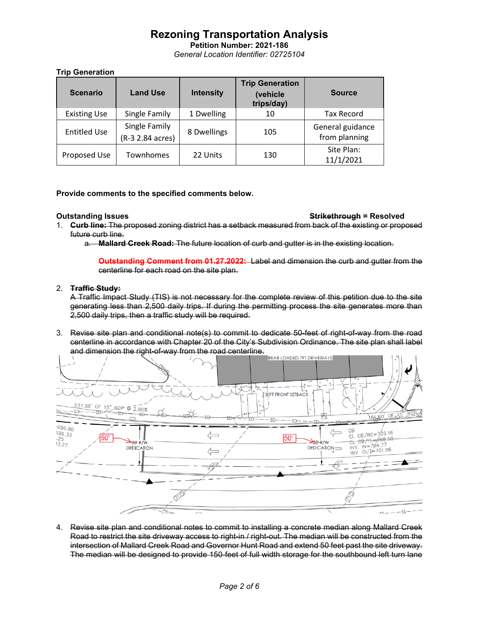**Petition Number: 2021-186** *General Location Identifier: 02725104*

### **Trip Generation**

| <b>Scenario</b>     | <b>Land Use</b>                   | <b>Intensity</b> | <b>Trip Generation</b><br>(vehicle<br>trips/day) | <b>Source</b>                     |
|---------------------|-----------------------------------|------------------|--------------------------------------------------|-----------------------------------|
| <b>Existing Use</b> | Single Family                     | 1 Dwelling       | 10                                               | <b>Tax Record</b>                 |
| <b>Entitled Use</b> | Single Family<br>(R-3 2.84 acres) | 8 Dwellings      | 105                                              | General guidance<br>from planning |
| Proposed Use        | Townhomes                         | 22 Units         | 130                                              | Site Plan:<br>11/1/2021           |

**Provide comments to the specified comments below.** 

#### **Outstanding Issues Strikethrough = Resolved**

- 1. **Curb line:** The proposed zoning district has a setback measured from back of the existing or proposed future curb line.
	- a. **Mallard Creek Road:** The future location of curb and gutter is in the existing location.

**Outstanding Comment from 01.27.2022:** Label and dimension the curb and gutter from the centerline for each road on the site plan.

### 2. **Traffic Study:**

A Traffic Impact Study (TIS) is not necessary for the complete review of this petition due to the site generating less than 2,500 daily trips. If during the permitting process the site generates more than 2,500 daily trips, then a traffic study will be required.

3. Revise site plan and conditional note(s) to commit to dedicate 50-feet of right-of-way from the road centerline in accordance with Chapter 20 of the City's Subdivision Ordinance. The site plan shall label and dimension the right-of-way from the road centerline.



4. Revise site plan and conditional notes to commit to installing a concrete median along Mallard Creek Road to restrict the site driveway access to right-in / right-out. The median will be constructed from the intersection of Mallard Creek Road and Governor Hunt Road and extend 50 feet past the site driveway. The median will be designed to provide 150-feet of full width storage for the southbound left turn lane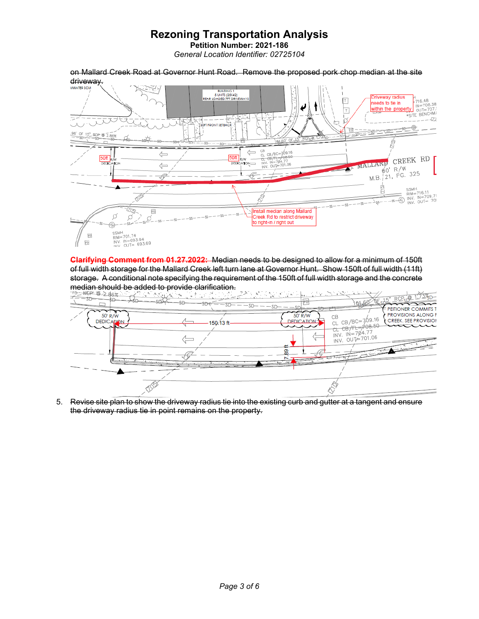**Petition Number: 2021-186** *General Location Identifier: 02725104*

on Mallard Creek Road at Governor Hunt Road. Remove the proposed pork chop median at the site driveway. **BUILDING** BUILDING 1<br>5 UNITS (25X42)<br>REAR LOADED 7FT DRIVEWAYS  $\frac{1}{\text{max}}$ <br>  $\frac{1}{\text{max}}$ <br>  $\frac{1}{\text{max}}$ <br>  $\frac{1}{\text{max}}$ <br>  $\frac{1}{\text{max}}$ <br>  $\frac{1}{\text{max}}$ <br>  $\frac{1}{\text{max}}$ Triveway radius  $\boxed{\top}$ eeds to tie in J ł within the property  $\overline{\mathbf{r}}$ 늭 -Jef ÷. - 10 179 デス ŤX **THE FRONT SETBACK** ⊕  $F<sub>0</sub>$  $\frac{96}{2}$  OF 15" RCP  $\overline{\phi}$  2.86% CB<br>CL  $\Leftarrow$  $C = 769.16$  $\Leftrightarrow$ MALLARD CREEK RD 50ft 50f CL-C<br>INV.<br>INV. <del>0B/TL=7</del><br>-1N=704<br>-0UT=70 **DEDK** γΩΩ  $\Leftarrow$  $60'$  R/W  $60'$  R/W<br>M.B. 21, PG. 325  $-\sqrt{c}$ P Ł É SSMH<br>
RIM=716.11<br>
RIM=716.11<br>
RIM PTOS.71<br>
RIM PTOS.701 103  $\simeq$ ss $-$ 12051  $\sqrt{10}$ Install median along Mallard ø ø  $2s$ Treek Rd to restrict driveway to right-in / right out  $-55 -$ SSMH<br>RIM=701.74<br>INV. IN=693.94<br>INV. OUT= 693.69  $F<sub>O</sub>$ FO

**Clarifying Comment from 01.27.2022:** Median needs to be designed to allow for a minimum of 150ft of full width storage for the Mallard Creek left turn lane at Governor Hunt. Show 150ft of full width (11ft) storage. A conditional note specifying the requirement of the 150ft of full width storage and the concrete



5. Revise site plan to show the driveway radius tie into the existing curb and gutter at a tangent and ensure the driveway radius tie in point remains on the property.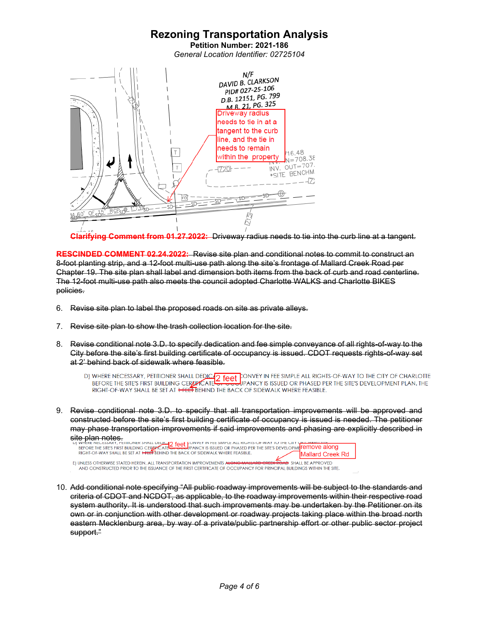**Petition Number: 2021-186** *General Location Identifier: 02725104*



**Clarifying Comment from 01.27.2022:** Driveway radius needs to tie into the curb line at a tangent.

**RESCINDED COMMENT 02.24.2022:** Revise site plan and conditional notes to commit to construct an 8-foot planting strip, and a 12-foot multi-use path along the site's frontage of Mallard Creek Road per Chapter 19. The site plan shall label and dimension both items from the back of curb and road centerline. The 12-foot multi-use path also meets the council adopted Charlotte WALKS and Charlotte BIKES policies.

- 6. Revise site plan to label the proposed roads on site as private alleys.
- 7. Revise site plan to show the trash collection location for the site.
- 8. Revise conditional note 3.D. to specify dedication and fee simple conveyance of all rights-of-way to the City before the site's first building certificate of occupancy is issued. CDOT requests rights-of-way set at 2' behind back of sidewalk where feasible.
	- D) WHERE NECESSARY, PETITIONER SHALL DEDICATE CONVEY IN FEE SIMPLE ALL RIGHTS-OF-WAY TO THE CITY OF CHARLOTTE<br>BEFORE THE SITE'S FIRST BUILDING CERTIFICATE OF SUBDIPANCY IS ISSUED OR PHASED PER THE SITE'S DEVELOPMENT PLAN. RIGHT-OF-WAY SHALL BE SET AT HELL BEHIND THE BACK OF SIDEWALK WHERE FEASIBLE.
- 9. Revise conditional note 3.D. to specify that all transportation improvements will be approved and constructed before the site's first building certificate of occupancy is issued is needed. The petitioner may phase transportation improvements if said improvements and phasing are explicitly described in

Site plan notes.<br>
UJ WHERE PERSONAL TELEVISIONS CERTIFICATE THE SINGLE CONTERNATION THE SITES DEVELOPMENT ON THE SITES PRESSUR<br>
REFORE THE SITES FIRST BUILDING CERTIFICATE THE BACK OF SIDEWALK WHERE FEASIBLE.<br>
RIGHT-OF-WAY Mallard Creek Rd E) UNLESS OTHERWISE STATED HEREIN, ALL TRANSPORTATION IMPROVEMENTS ALL **HD** SHALL BE APPROVED

AND CONSTRUCTED PRIOR TO THE ISSUANCE OF THE FIRST CERTIFICATE OF OCCUPANCY FOR PRINCIPAL BUILDINGS WITHIN THE SITE.

10. Add conditional note specifying "All public roadway improvements will be subject to the standards and criteria of CDOT and NCDOT, as applicable, to the roadway improvements within their respective road system authority. It is understood that such improvements may be undertaken by the Petitioner on its own or in conjunction with other development or roadway projects taking place within the broad north eastern Mecklenburg area, by way of a private/public partnership effort or other public sector project support."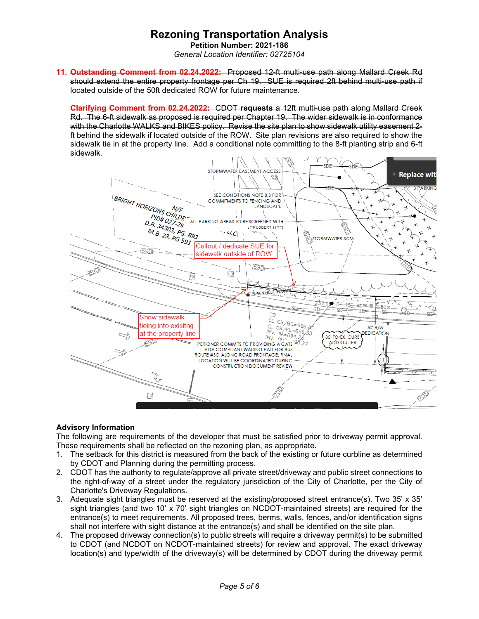**Petition Number: 2021-186** *General Location Identifier: 02725104*

**11. Outstanding Comment from 02.24.2022:** Proposed 12-ft multi-use path along Mallard Creek Rd should extend the entire property frontage per Ch 19. SUE is required 2ft behind multi-use path if located outside of the 50ft dedicated ROW for future maintenance.

**Clarifying Comment from 02.24.2022:** CDOT **requests** a 12ft multi-use path along Mallard Creek Rd. The 6-ft sidewalk as proposed is required per Chapter 19. The wider sidewalk is in conformance with the Charlotte WALKS and BIKES policy. Revise the site plan to show sidewalk utility easement 2 ft behind the sidewalk if located outside of the ROW. Site plan revisions are also required to show the sidewalk tie in at the property line. Add a conditional note committing to the 8-ft planting strip and 6-ft sidewalk.



### **Advisory Information**

The following are requirements of the developer that must be satisfied prior to driveway permit approval. These requirements shall be reflected on the rezoning plan, as appropriate.

- 1. The setback for this district is measured from the back of the existing or future curbline as determined by CDOT and Planning during the permitting process.
- 2. CDOT has the authority to regulate/approve all private street/driveway and public street connections to the right-of-way of a street under the regulatory jurisdiction of the City of Charlotte, per the City of Charlotte's Driveway Regulations.
- 3. Adequate sight triangles must be reserved at the existing/proposed street entrance(s). Two 35' x 35' sight triangles (and two 10' x 70' sight triangles on NCDOT-maintained streets) are required for the entrance(s) to meet requirements. All proposed trees, berms, walls, fences, and/or identification signs shall not interfere with sight distance at the entrance(s) and shall be identified on the site plan.
- 4. The proposed driveway connection(s) to public streets will require a driveway permit(s) to be submitted to CDOT (and NCDOT on NCDOT-maintained streets) for review and approval. The exact driveway location(s) and type/width of the driveway(s) will be determined by CDOT during the driveway permit